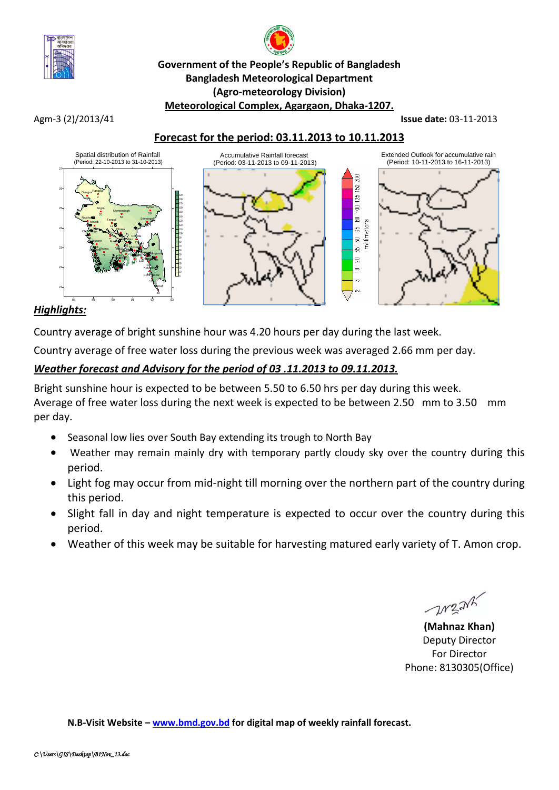

# **Government of the People's Republic of Bangladesh Bangladesh Meteorological Department (Agro-meteorology Division) Meteorological Complex, Agargaon, Dhaka-1207.**

Agm-3 (2)/2013/41 **Issue date:** 03-11-2013

# **Forecast for the period: 03.11.2013 to 10.11.2013**



## *Highlights:*

Country average of bright sunshine hour was 4.20 hours per day during the last week.

Country average of free water loss during the previous week was averaged 2.66 mm per day.

# *Weather forecast and Advisory for the period of 03 .11.2013 to 09.11.2013.*

Bright sunshine hour is expected to be between 5.50 to 6.50 hrs per day during this week. Average of free water loss during the next week is expected to be between 2.50 mm to 3.50 mm per day.

- Seasonal low lies over South Bay extending its trough to North Bay
- Weather may remain mainly dry with temporary partly cloudy sky over the country during this period.
- Light fog may occur from mid-night till morning over the northern part of the country during this period.
- Slight fall in day and night temperature is expected to occur over the country during this period.
- Weather of this week may be suitable for harvesting matured early variety of T. Amon crop.

**WEAK** 

**(Mahnaz Khan)** Deputy Director For Director Phone: 8130305(Office)

**N.B-Visit Website – [www.bmd.gov.bd](http://www.bmd.gov.bd/) for digital map of weekly rainfall forecast.**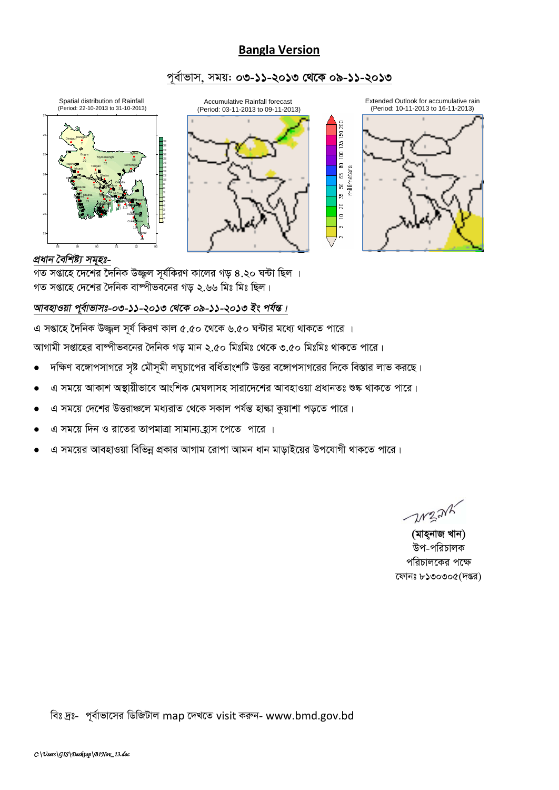# **Bangla Version**

#### পূর্বাভাস, সময়: ০৩-১১-২০১৩ থেকে ০৯-১১-২০১৩







## প্ৰধান বৈশিষ্ট্য সমূহঃ-

গত সপ্তাহে দেশের দৈনিক উজ্জল সর্যকিরণ কালের গড় ৪.২০ ঘন্টা ছিল । গত সপ্তাহে দেশের দৈনিক বাষ্পীভবনের গড় ২.৬৬ মিঃ মিঃ ছিল।

## আবহাওয়া পূর্বাভাসঃ-০৩-১১-২০১৩ থেকে ০৯-১১-২০১৩ ইং পর্যন্ত।

এ সপ্তাহে দৈনিক উজ্জল সূর্য কিরণ কাল ৫.৫০ থেকে ৬.৫০ ঘন্টার মধ্যে থাকতে পারে । আগামী সপ্তাহের বাষ্পীভবনের দৈনিক গড় মান ২.৫০ মিঃমিঃ থেকে ৩.৫০ মিঃমিঃ থাকতে পারে।

- দক্ষিণ বঙ্গোপসাগরে সৃষ্ট মৌসুমী লঘুচাপের বর্ধিতাংশটি উত্তর বঙ্গোপসাগরের দিকে বিস্তার লাভ করছে।
- এ সময়ে আকাশ অস্থায়ীভাবে আংশিক মেঘলাসহ সারাদেশের আবহাওয়া প্রধানতঃ শুষ্ক থাকতে পারে।
- এ সময়ে দেশের উত্তরাঞ্চলে মধ্যরাত থেকে সকাল পর্যন্ত হাল্কা কয়াশা পডতে পারে।
- এ সময়ে দিন ও রাতের তাপমাত্রা সামান্য হ্রাস পেতে পারে ।
- এ সময়ের আবহাওয়া বিভিন্ন প্রকার আগাম রোপা আমন ধান মাড়াইয়ের উপযোগী থাকতে পারে।

**WEAK** 

(মাহ্নাজ খান) উপ-পরিচালক পরিচালকের পক্ষে ফোনঃ ৮১৩০৩০৫(দপ্তর)

বিঃ দ্রঃ- পূর্বাভাসের ডিজিটাল map দেখতে visit করুন- www.bmd.gov.bd